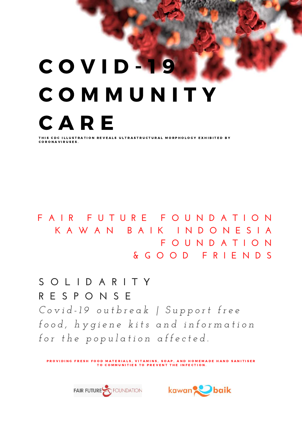# C O V I D - 1 9 C O M M U N I T Y C A R E THIS CDC ILLUSTRATION REVEALS ULTRASTRUCTURAL MORPHOLOGY EXHIBITED BY

C O R O N A V I R U S E S .

**F A I R F U T U R E F O U N D A T I O N K A W A N B A I K I N D O N E S I A F O U N D A T I O N & G O O D F R I E N D S**

Covid-19 outbreak | Support free food, hygiene kits and information *f o r t h e p o p u l a t i o n a f f e c t e d .* **S O L I D A R I T Y R E S P O N S E**

PROVIDING FRESH FOOD MATERIALS, VITAMINS, SOAP, AND HOMEMADE HAND SANITISER TO COMMUNITIES TO PREVENT THE INFECTION.



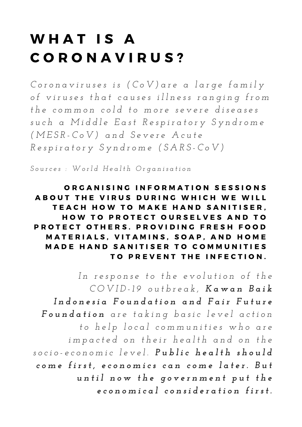## WHAT IS A C O R O N A V I R U S ?

Coronaviruses is (CoV) are a large family of viruses that causes illness ranging from the common cold to more severe diseases such a Middle East Respiratory Syndrome *( M E S R - C o V ) a n d S e v e r e A c u t e* Respiratory Syndrome (SARS-CoV)

Sources: World Health Organisation

ORGANISING INFORMATION SESSIONS A BOUT THE VIRUS DURING WHICH WE WILL TEACH HOW TO MAKE HAND SANITISER. HOW TO PROTECT OURSELVES AND TO PROTECT OTHERS. PROVIDING FRESH FOOD MATERIALS, VITAMINS, SOAP, AND HOME MADE HAND SANITISER TO COMMUNITIES TO PREVENT THE INFECTION.

In response to the evolution of the COVID-19 outbreak, Kawan Baik Indonesia Foundation and Fair Future Foundation are taking basic level action to help local communities who are impacted on their health and on the socio-economic level. Public health should come first, economics can come later. But until now the government put the economical consideration first.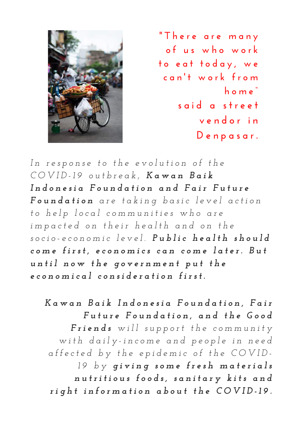

**" T h e r e a r e m a n y o f u s w h o w o r k t o e a t t o d a y , w e c a n ' t w o r k f r o m h o m e " s a i d a s t r e e t v e n d o r i n D e n p a s a r .**

In response to the evolution of the COVID-19 outbreak, Kawan Baik Indonesia Foundation and Fair Future Foundation are taking basic level action to help local communities who are impacted on their health and on the socio-economic level. Public health should come first, economics can come later. But until now the government put the economical consideration first.

Kawan Baik Indonesia Foundation, Fair Future Foundation, and the Good Friends will support the community with daily-income and people in need affected by the epidemic of the COVID-19 by giving some fresh materials nutritious foods, sanitary kits and right information about the COVID-19.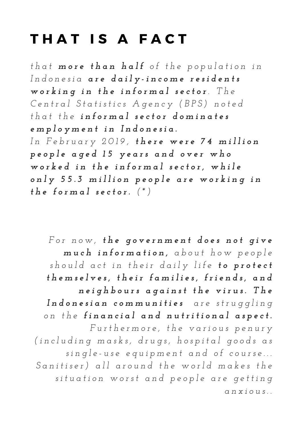#### THAT IS A FACT

that more than half of the population in Indonesia are daily-income residents working in the informal sector. The Central Statistics Agency (BPS) noted that the informal sector dominates *e m p l o y m e n t i n I n d o n e s i a .* In February 2019, there were 74 million people aged 15 years and over who worked in the informal sector, while only 55.3 million people are working in *t h e f o r m a l s e c t o r . ( \* )*

For now, the government does not give much information, about how people should act in their daily life to protect themselves, their families, friends, and neighbours against the virus. The Indonesian communities are struggling on the financial and nutritional aspect. Furthermore, the various penury (including masks, drugs, hospital goods as single-use equipment and of course... Sanitiser) all around the world makes the situation worst and people are getting *a n x i o u s . .*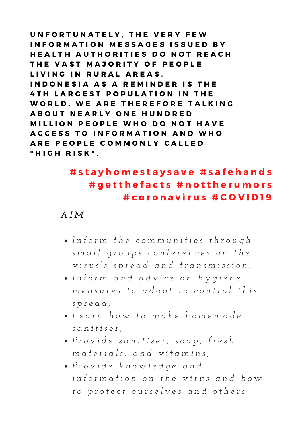UNFORTUNATELY. THE VERY FEW INFORMATION MESSAGES ISSUED BY HEALTH AUTHORITIES DO NOT REACH THE VAST MAJORITY OF PEOPLE LIVING IN RURAL AREAS. INDONESIA AS A REMINDER IS THE 4 TH LARGEST POPULATION IN THE WORLD. WE ARE THEREFORE TALKING A B O U T N E A R L Y O N E H U N D R E D MILLION PEOPLE WHO DO NOT HAVE A C C E S S TO INFORMATION AND WHO ARE PEOPLE COMMONLY CALLED " H I G H R I S K " .

#### #stayhomestaysave #safehands #getthefacts #nottherumors # c o r o n a v i r u s # C O V I D 1 9

#### *A I M*

- · Inform the communities through small groups conferences on the *v i r u s 's s p r e a d a n d t r a n s m i s s i o n ,*
- *I n f o r m a n d a d v i c e o n h y g i e n e* measures to adopt to control this *s p r e a d ,*
- *L e a r n h o w t o m a k e h o m e m a d e s a n i t i s e r ,*
- · Provide sanitiser, soap, fresh *m a t e r i a l s , a n d v i t a m i n s ,*
- *P r o v i d e k n o w l e d g e a n d* information on the virus and how to protect ourselves and others.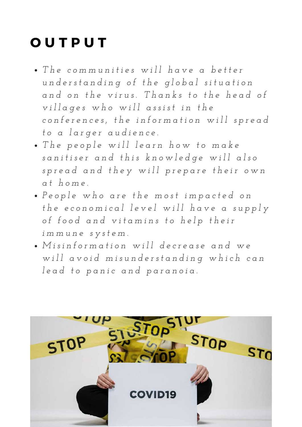## **OUTPUT**

- The communities will have a better understanding of the global situation and on the virus. Thanks to the head of villages who will assist in the conferences, the information will spread *t o a l a r g e r a u d i e n c e .*
- . The people will learn how to make sanitiser and this knowledge will also spread and they will prepare their own *a t h o m e .*
- · People who are the most impacted on the economical level will have a supply of food and vitamins to help their *i m m u n e s y s t e m .*
- · Misinformation will decrease and we will avoid misunderstanding which can *l e a d t o p a n i c a n d p a r a n o i a .*

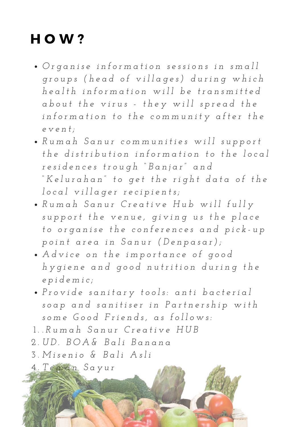#### HOW?

- · Organise information sessions in small groups (head of villages) during which health information will be transmitted about the virus - they will spread the information to the community after the *e v e n t ;*
- Rumah Sanur communities will support the distribution information to the local residences trough "Banjar" and "Kelurahan" to get the right data of the *l o c a l v i l l a g e r r e c i p i e n t s ;*
- Rumah Sanur Creative Hub will fully support the venue, giving us the place to organise the conferences and pick-up point area in Sanur (Denpasar);
- Advice on the importance of good hygiene and good nutrition during the *e p i d e m i c ;*
- Provide sanitary tools: anti bacterial soap and sanitiser in Partnership with some Good Friends, as follows:
- *. R u m a h S a n u r C r e a t i v e H U B* 1 .
- *U D . B O A & B a l i B a n a n a* 2 .
- *M i s e n i o & B a l i A s l i* 3 .

*T e m a n S a y u r* 4 .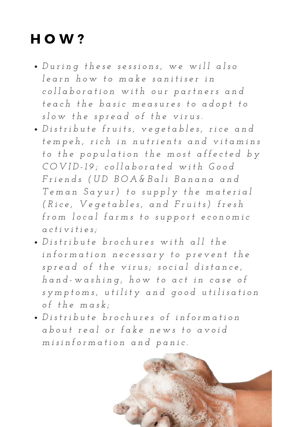### HOW?

- · During these sessions, we will also *l e a r n h o w t o m a k e s a n i t i s e r i n* collaboration with our partners and teach the basic measures to adopt to *s l o w t h e s p r e a d o f t h e v i r u s .*
- · Distribute fruits, vegetables, rice and tempeh, rich in nutrients and vitamins to the population the most affected by COVID-19; collaborated with Good Friends (UD BOA& Bali Banana and Teman Sayur) to supply the material (Rice, Vegetables, and Fruits) fresh from local farms to support economic *a c t i v i t i e s ;*
- Distribute brochures with all the information necessary to prevent the spread of the virus; social distance, hand-washing, how to act in case of symptoms, utility and good utilisation *o f t h e m a s k ;*
- · Distribute brochures of information about real or fake news to avoid *m i s i n f o r m a t i o n a n d p a n i c .*

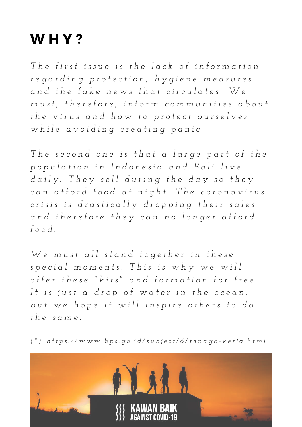#### WHY?

The first issue is the lack of information regarding protection, hygiene measures and the fake news that circulates. We must, therefore, inform communities about the virus and how to protect ourselves while avoiding creating panic.

The second one is that a large part of the population in Indonesia and Bali live daily. They sell during the day so they can afford food at night. The coronavirus crisis is drastically dropping their sales and therefore they can no longer afford *f o o d .*

We must all stand together in these special moments. This is why we will offer these "kits" and formation for free. It is just a drop of water in the ocean, but we hope it will inspire others to do  $th$ *e*  $same$ .

(\*) https://www.bps.go.id/subject/6/tenaga-kerja.html

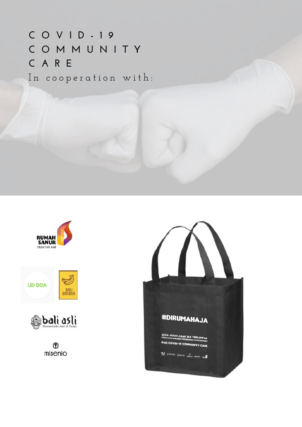In cooperation with: **C O V I D - 1 9 C O M M U N I T Y C A R E**







 $^{\circledR}$ misenio